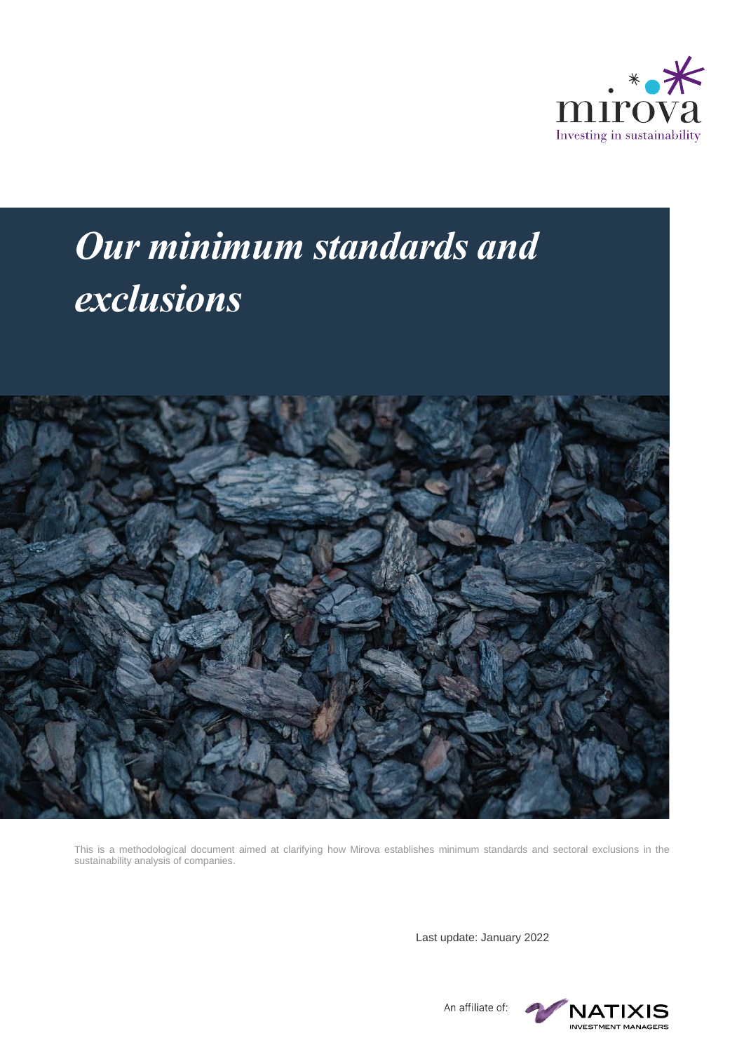

# *Our minimum standards and exclusions*



This is a methodological document aimed at clarifying how Mirova establishes minimum standards and sectoral exclusions in the sustainability analysis of companies.

Last update: January 2022



An affiliate of: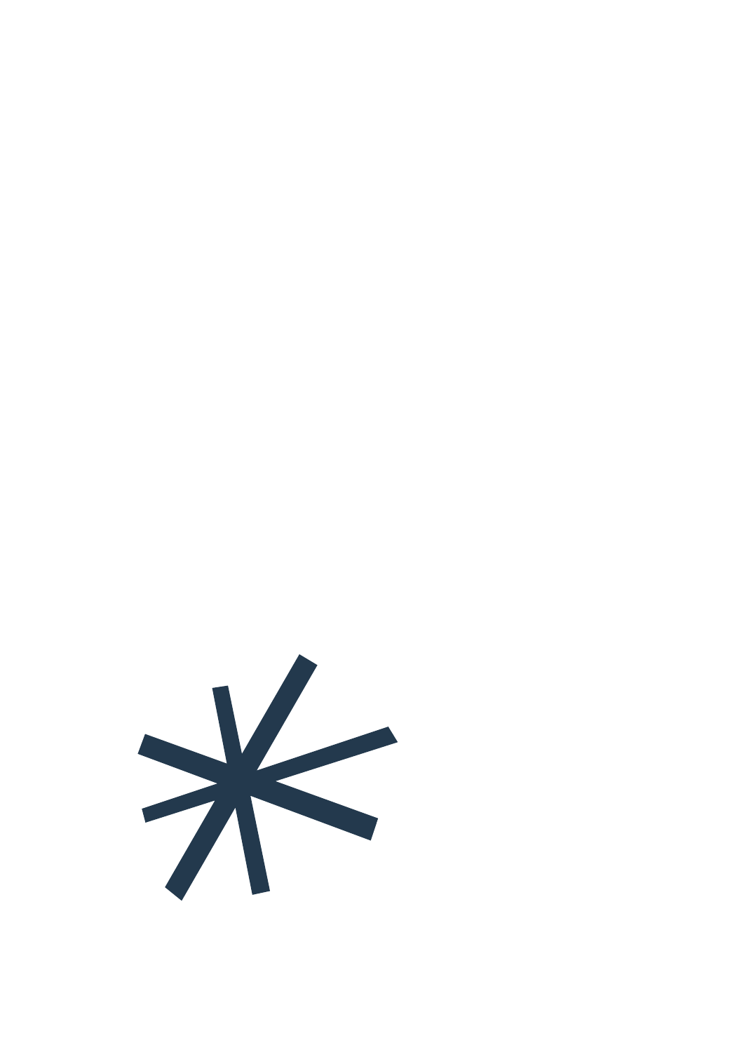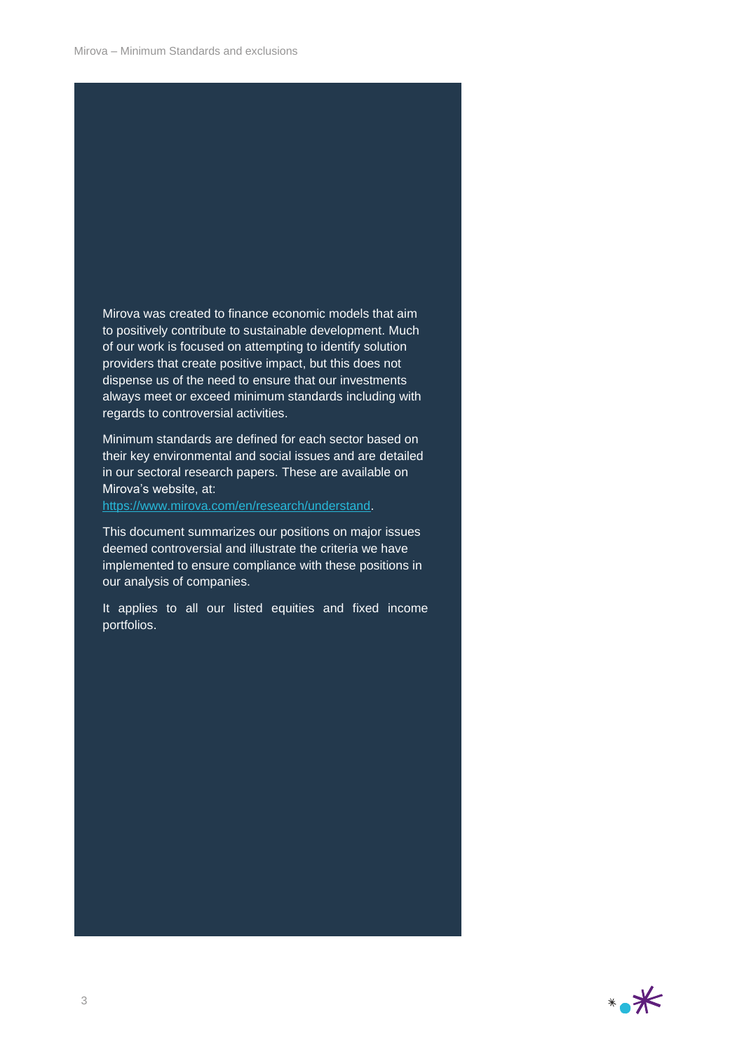Mirova was created to finance economic models that aim to positively contribute to sustainable development. Much of our work is focused on attempting to identify solution providers that create positive impact, but this does not dispense us of the need to ensure that our investments always meet or exceed minimum standards including with regards to controversial activities.

Minimum standards are defined for each sector based on their key environmental and social issues and are detailed in our sectoral research papers. These are available on Mirova's website, at:

[https://www.mirova.com/en/research/understand.](https://www.mirova.com/en/research/understand)

This document summarizes our positions on major issues deemed controversial and illustrate the criteria we have implemented to ensure compliance with these positions in our analysis of companies.

It applies to all our listed equities and fixed income portfolios.

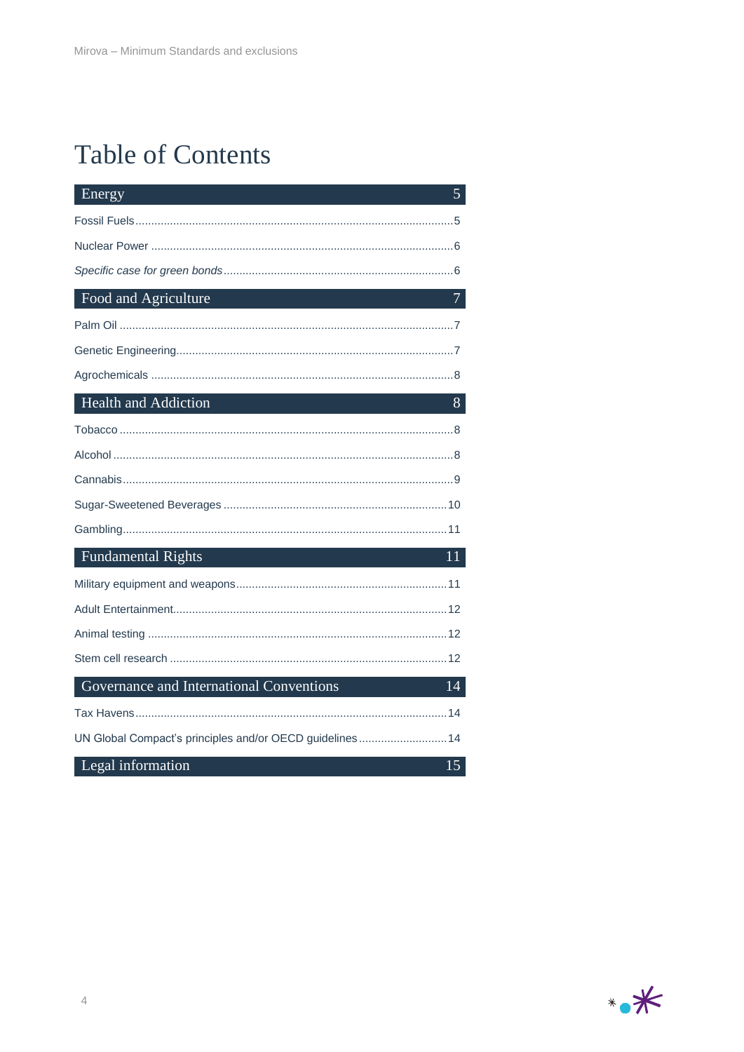## **Table of Contents**

| 5<br>Energy                                              |
|----------------------------------------------------------|
|                                                          |
|                                                          |
|                                                          |
| Food and Agriculture<br>7                                |
|                                                          |
|                                                          |
|                                                          |
| Health and Addiction<br>8                                |
|                                                          |
|                                                          |
|                                                          |
|                                                          |
|                                                          |
| <b>Fundamental Rights</b><br>$11\,$                      |
|                                                          |
|                                                          |
|                                                          |
|                                                          |
| Governance and International Conventions<br>14           |
|                                                          |
| UN Global Compact's principles and/or OECD guidelines 14 |
| Legal information<br>15                                  |

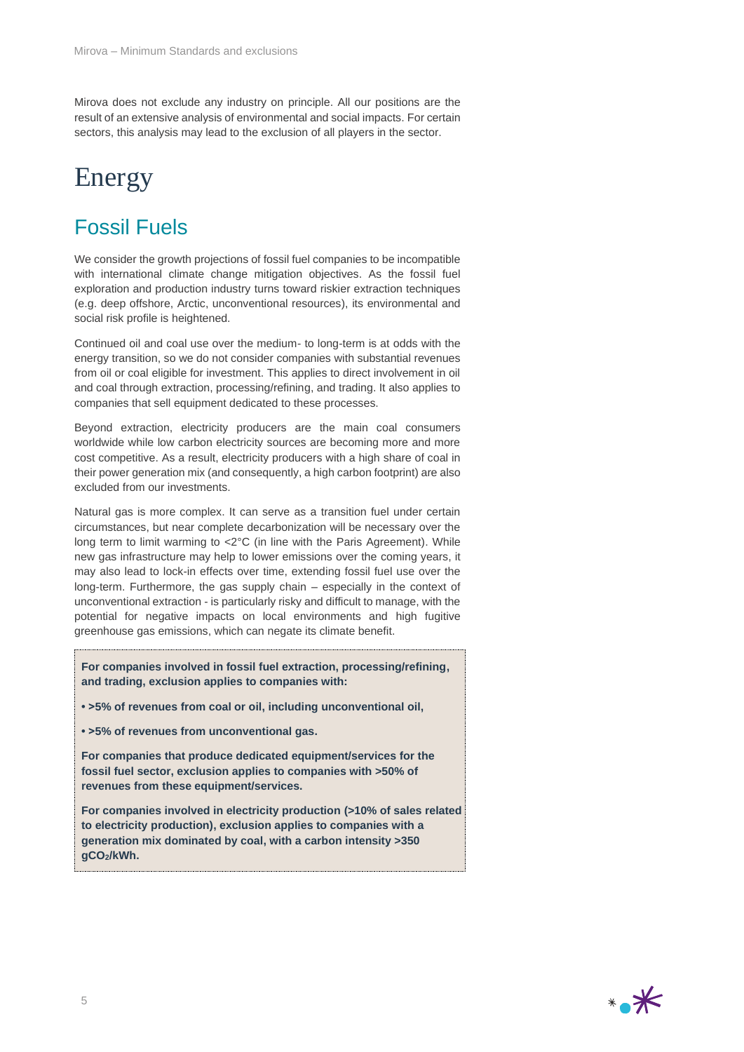Mirova does not exclude any industry on principle. All our positions are the result of an extensive analysis of environmental and social impacts. For certain sectors, this analysis may lead to the exclusion of all players in the sector.

## <span id="page-4-0"></span>Energy

### <span id="page-4-1"></span>Fossil Fuels

We consider the growth projections of fossil fuel companies to be incompatible with international climate change mitigation objectives. As the fossil fuel exploration and production industry turns toward riskier extraction techniques (e.g. deep offshore, Arctic, unconventional resources), its environmental and social risk profile is heightened.

Continued oil and coal use over the medium- to long-term is at odds with the energy transition, so we do not consider companies with substantial revenues from oil or coal eligible for investment. This applies to direct involvement in oil and coal through extraction, processing/refining, and trading. It also applies to companies that sell equipment dedicated to these processes.

Beyond extraction, electricity producers are the main coal consumers worldwide while low carbon electricity sources are becoming more and more cost competitive. As a result, electricity producers with a high share of coal in their power generation mix (and consequently, a high carbon footprint) are also excluded from our investments.

Natural gas is more complex. It can serve as a transition fuel under certain circumstances, but near complete decarbonization will be necessary over the long term to limit warming to <2°C (in line with the Paris Agreement). While new gas infrastructure may help to lower emissions over the coming years, it may also lead to lock-in effects over time, extending fossil fuel use over the long-term. Furthermore, the gas supply chain – especially in the context of unconventional extraction - is particularly risky and difficult to manage, with the potential for negative impacts on local environments and high fugitive greenhouse gas emissions, which can negate its climate benefit.

**For companies involved in fossil fuel extraction, processing/refining, and trading, exclusion applies to companies with:** 

**• >5% of revenues from coal or oil, including unconventional oil,** 

**• >5% of revenues from unconventional gas.**

**For companies that produce dedicated equipment/services for the fossil fuel sector, exclusion applies to companies with >50% of revenues from these equipment/services.** 

**For companies involved in electricity production (>10% of sales related to electricity production), exclusion applies to companies with a generation mix dominated by coal, with a carbon intensity >350 gCO2/kWh.**

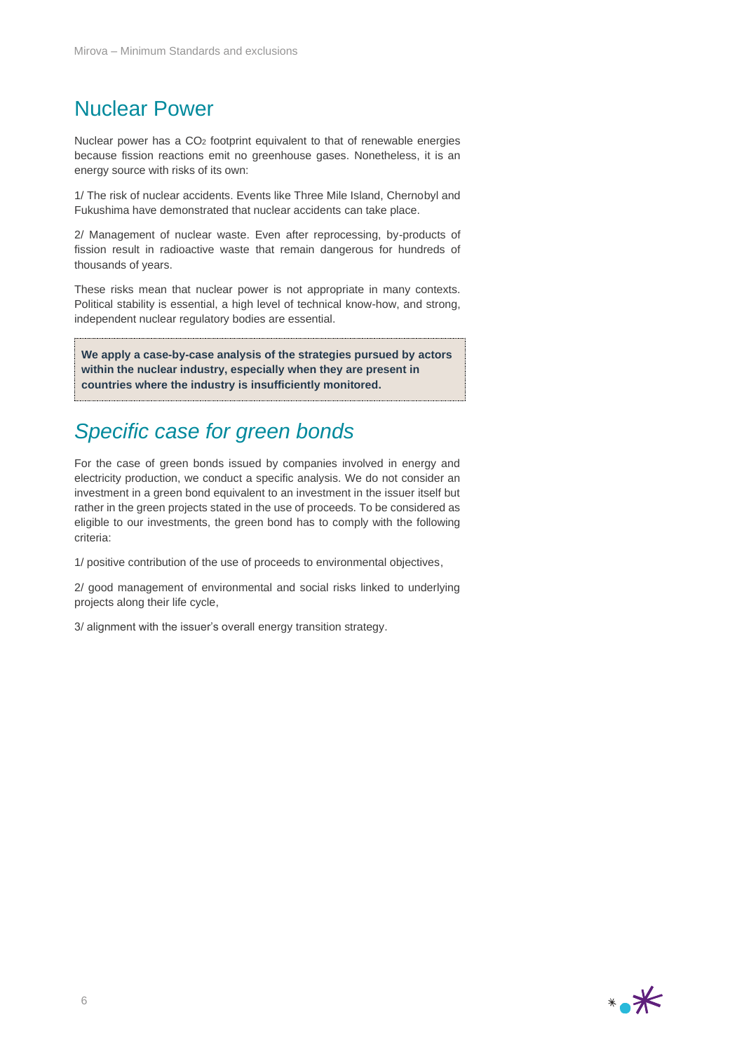### <span id="page-5-0"></span>Nuclear Power

Nuclear power has a CO<sub>2</sub> footprint equivalent to that of renewable energies because fission reactions emit no greenhouse gases. Nonetheless, it is an energy source with risks of its own:

1/ The risk of nuclear accidents. Events like Three Mile Island, Chernobyl and Fukushima have demonstrated that nuclear accidents can take place.

2/ Management of nuclear waste. Even after reprocessing, by-products of fission result in radioactive waste that remain dangerous for hundreds of thousands of years.

These risks mean that nuclear power is not appropriate in many contexts. Political stability is essential, a high level of technical know-how, and strong, independent nuclear regulatory bodies are essential.

**We apply a case-by-case analysis of the strategies pursued by actors within the nuclear industry, especially when they are present in countries where the industry is insufficiently monitored.**

### <span id="page-5-1"></span>*Specific case for green bonds*

For the case of green bonds issued by companies involved in energy and electricity production, we conduct a specific analysis. We do not consider an investment in a green bond equivalent to an investment in the issuer itself but rather in the green projects stated in the use of proceeds. To be considered as eligible to our investments, the green bond has to comply with the following criteria:

1/ positive contribution of the use of proceeds to environmental objectives,

2/ good management of environmental and social risks linked to underlying projects along their life cycle,

3/ alignment with the issuer's overall energy transition strategy.

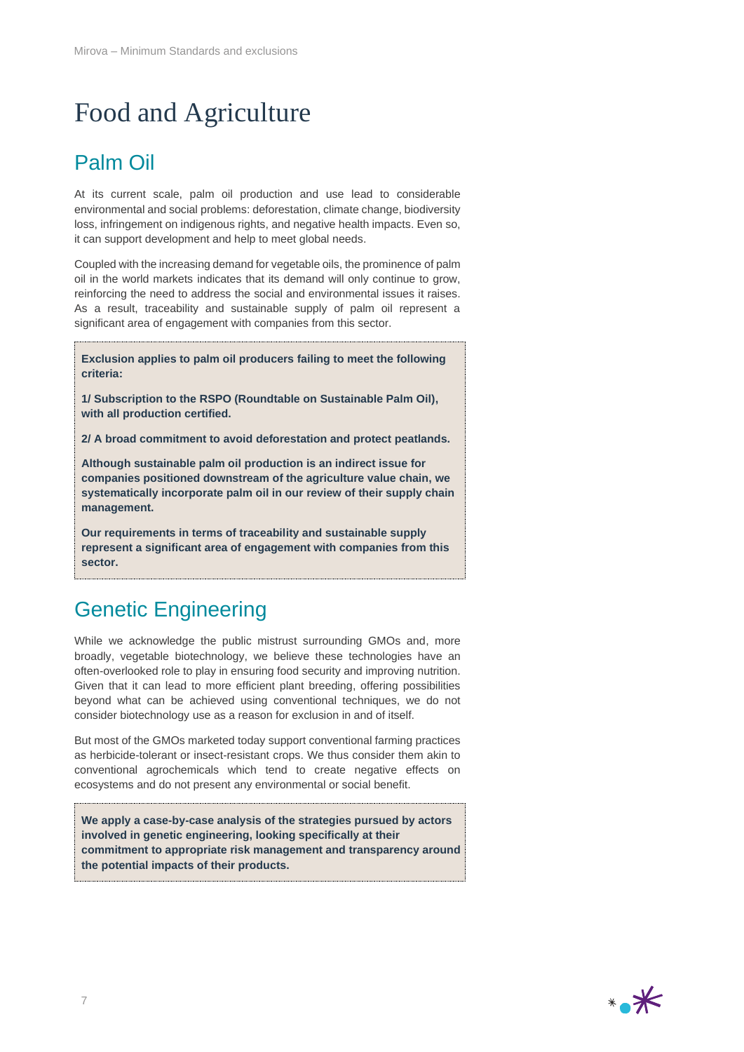## <span id="page-6-0"></span>Food and Agriculture

### <span id="page-6-1"></span>Palm Oil

At its current scale, palm oil production and use lead to considerable environmental and social problems: deforestation, climate change, biodiversity loss, infringement on indigenous rights, and negative health impacts. Even so, it can support development and help to meet global needs.

Coupled with the increasing demand for vegetable oils, the prominence of palm oil in the world markets indicates that its demand will only continue to grow, reinforcing the need to address the social and environmental issues it raises. As a result, traceability and sustainable supply of palm oil represent a significant area of engagement with companies from this sector.

**Exclusion applies to palm oil producers failing to meet the following criteria:**

**1/ Subscription to the RSPO (Roundtable on Sustainable Palm Oil), with all production certified.** 

**2/ A broad commitment to avoid deforestation and protect peatlands.** 

**Although sustainable palm oil production is an indirect issue for companies positioned downstream of the agriculture value chain, we systematically incorporate palm oil in our review of their supply chain management.** 

**Our requirements in terms of traceability and sustainable supply represent a significant area of engagement with companies from this sector.**

### <span id="page-6-2"></span>Genetic Engineering

While we acknowledge the public mistrust surrounding GMOs and, more broadly, vegetable biotechnology, we believe these technologies have an often-overlooked role to play in ensuring food security and improving nutrition. Given that it can lead to more efficient plant breeding, offering possibilities beyond what can be achieved using conventional techniques, we do not consider biotechnology use as a reason for exclusion in and of itself.

But most of the GMOs marketed today support conventional farming practices as herbicide-tolerant or insect-resistant crops. We thus consider them akin to conventional agrochemicals which tend to create negative effects on ecosystems and do not present any environmental or social benefit.

**We apply a case-by-case analysis of the strategies pursued by actors involved in genetic engineering, looking specifically at their commitment to appropriate risk management and transparency around the potential impacts of their products.**

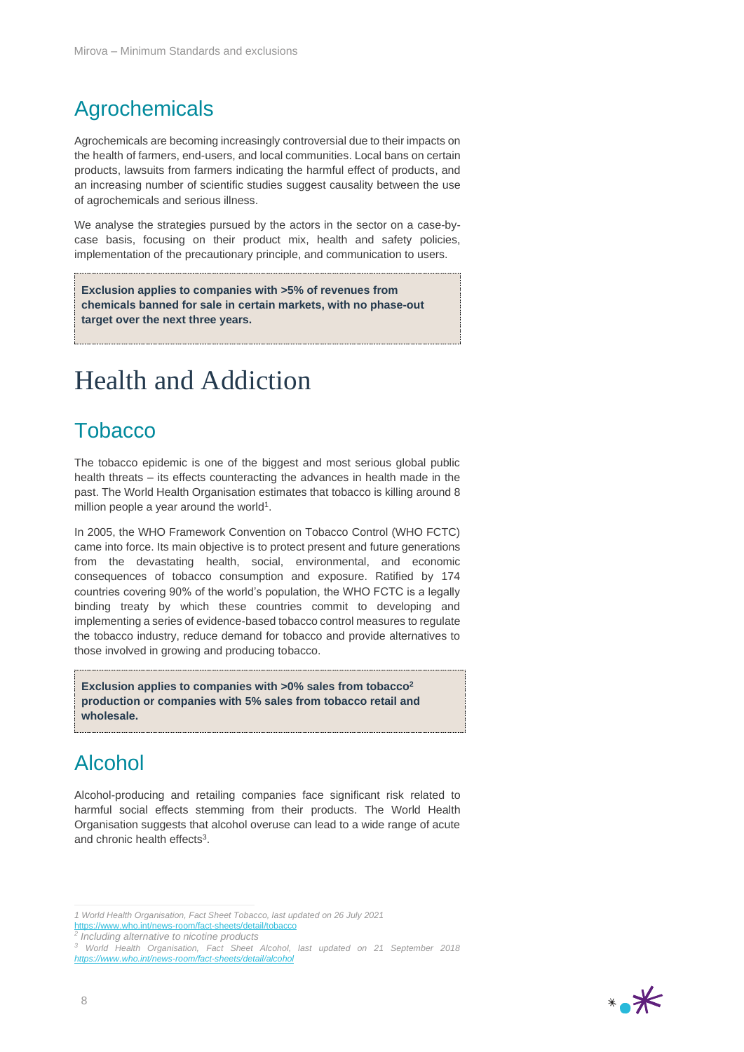### <span id="page-7-0"></span>**Agrochemicals**

Agrochemicals are becoming increasingly controversial due to their impacts on the health of farmers, end-users, and local communities. Local bans on certain products, lawsuits from farmers indicating the harmful effect of products, and an increasing number of scientific studies suggest causality between the use of agrochemicals and serious illness.

We analyse the strategies pursued by the actors in the sector on a case-bycase basis, focusing on their product mix, health and safety policies, implementation of the precautionary principle, and communication to users.

**Exclusion applies to companies with >5% of revenues from chemicals banned for sale in certain markets, with no phase-out target over the next three years.**

## <span id="page-7-1"></span>Health and Addiction

#### <span id="page-7-2"></span>**Tobacco**

The tobacco epidemic is one of the biggest and most serious global public health threats – its effects counteracting the advances in health made in the past. The World Health Organisation estimates that tobacco is killing around 8 million people a year around the world<sup>1</sup>.

In 2005, the WHO Framework Convention on Tobacco Control (WHO FCTC) came into force. Its main objective is to protect present and future generations from the devastating health, social, environmental, and economic consequences of tobacco consumption and exposure. Ratified by 174 countries covering 90% of the world's population, the WHO FCTC is a legally binding treaty by which these countries commit to developing and implementing a series of evidence-based tobacco control measures to regulate the tobacco industry, reduce demand for tobacco and provide alternatives to those involved in growing and producing tobacco.

**Exclusion applies to companies with >0% sales from tobacco<sup>2</sup> production or companies with 5% sales from tobacco retail and wholesale.** 

### <span id="page-7-3"></span>Alcohol

Alcohol-producing and retailing companies face significant risk related to harmful social effects stemming from their products. The World Health Organisation suggests that alcohol overuse can lead to a wide range of acute and chronic health effects<sup>3</sup>.

*1 World Health Organisation, Fact Sheet Tobacco, last updated on 26 July 2021* 



https://www.who.int/news-room/fact-sheet *2 Including alternative to nicotine products*

*<sup>3</sup> World Health Organisation, Fact Sheet Alcohol, last updated on 21 September 2018 <https://www.who.int/news-room/fact-sheets/detail/alcohol>*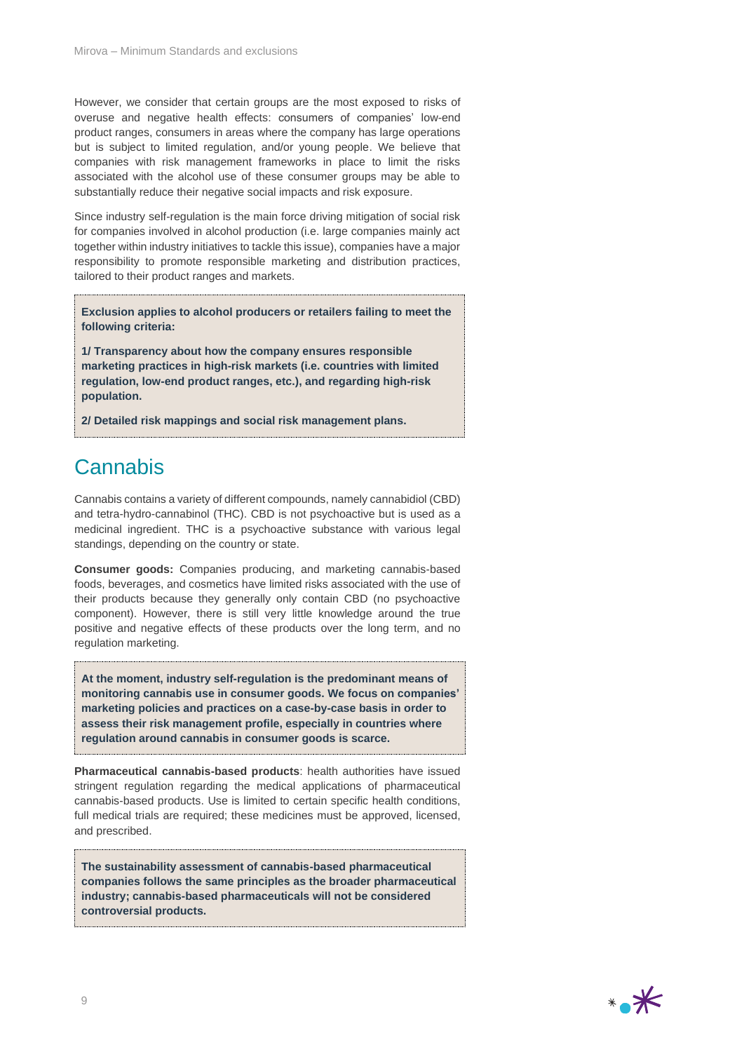However, we consider that certain groups are the most exposed to risks of overuse and negative health effects: consumers of companies' low-end product ranges, consumers in areas where the company has large operations but is subject to limited regulation, and/or young people. We believe that companies with risk management frameworks in place to limit the risks associated with the alcohol use of these consumer groups may be able to substantially reduce their negative social impacts and risk exposure.

Since industry self-regulation is the main force driving mitigation of social risk for companies involved in alcohol production (i.e. large companies mainly act together within industry initiatives to tackle this issue), companies have a major responsibility to promote responsible marketing and distribution practices, tailored to their product ranges and markets.

**Exclusion applies to alcohol producers or retailers failing to meet the following criteria:** 

**1/ Transparency about how the company ensures responsible marketing practices in high-risk markets (i.e. countries with limited regulation, low-end product ranges, etc.), and regarding high-risk population.** 

**2/ Detailed risk mappings and social risk management plans.**

### <span id="page-8-0"></span>**Cannabis**

Cannabis contains a variety of different compounds, namely cannabidiol (CBD) and tetra-hydro-cannabinol (THC). CBD is not psychoactive but is used as a medicinal ingredient. THC is a psychoactive substance with various legal standings, depending on the country or state.

**Consumer goods:** Companies producing, and marketing cannabis-based foods, beverages, and cosmetics have limited risks associated with the use of their products because they generally only contain CBD (no psychoactive component). However, there is still very little knowledge around the true positive and negative effects of these products over the long term, and no regulation marketing.

**At the moment, industry self-regulation is the predominant means of monitoring cannabis use in consumer goods. We focus on companies' marketing policies and practices on a case-by-case basis in order to assess their risk management profile, especially in countries where regulation around cannabis in consumer goods is scarce.**

**Pharmaceutical cannabis-based products**: health authorities have issued stringent regulation regarding the medical applications of pharmaceutical cannabis-based products. Use is limited to certain specific health conditions, full medical trials are required; these medicines must be approved, licensed, and prescribed.

**The sustainability assessment of cannabis-based pharmaceutical companies follows the same principles as the broader pharmaceutical industry; cannabis-based pharmaceuticals will not be considered controversial products.**

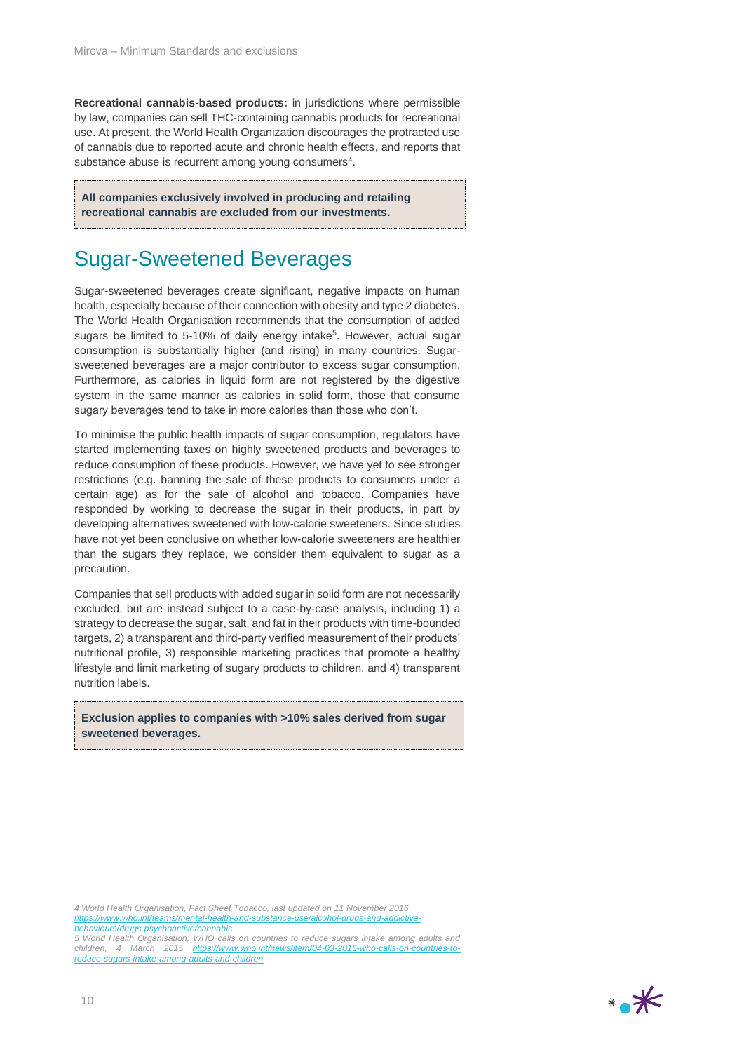**Recreational cannabis-based products:** in jurisdictions where permissible by law, companies can sell THC-containing cannabis products for recreational use. At present, the World Health Organization discourages the protracted use of cannabis due to reported acute and chronic health effects, and reports that substance abuse is recurrent among young consumers<sup>4</sup>.

**All companies exclusively involved in producing and retailing recreational cannabis are excluded from our investments.**

### <span id="page-9-0"></span>Sugar-Sweetened Beverages

Sugar-sweetened beverages create significant, negative impacts on human health, especially because of their connection with obesity and type 2 diabetes. The World Health Organisation recommends that the consumption of added sugars be limited to 5-10% of daily energy intake<sup>5</sup>. However, actual sugar consumption is substantially higher (and rising) in many countries. Sugarsweetened beverages are a major contributor to excess sugar consumption. Furthermore, as calories in liquid form are not registered by the digestive system in the same manner as calories in solid form, those that consume sugary beverages tend to take in more calories than those who don't.

To minimise the public health impacts of sugar consumption, regulators have started implementing taxes on highly sweetened products and beverages to reduce consumption of these products. However, we have yet to see stronger restrictions (e.g. banning the sale of these products to consumers under a certain age) as for the sale of alcohol and tobacco. Companies have responded by working to decrease the sugar in their products, in part by developing alternatives sweetened with low-calorie sweeteners. Since studies have not yet been conclusive on whether low-calorie sweeteners are healthier than the sugars they replace, we consider them equivalent to sugar as a precaution.

Companies that sell products with added sugar in solid form are not necessarily excluded, but are instead subject to a case-by-case analysis, including 1) a strategy to decrease the sugar, salt, and fat in their products with time-bounded targets, 2) a transparent and third-party verified measurement of their products' nutritional profile, 3) responsible marketing practices that promote a healthy lifestyle and limit marketing of sugary products to children, and 4) transparent nutrition labels.

**Exclusion applies to companies with >10% sales derived from sugar sweetened beverages.**

*4 World Health Organisation, Fact Sheet Tobacco, last updated on 11 November 2016 https://www.who.int/teams/mental-health-and-sub [behaviours/drugs-psychoactive/cannabis](https://www.who.int/teams/mental-health-and-substance-use/alcohol-drugs-and-addictive-behaviours/drugs-psychoactive/cannabis)*

*5 World Health Organisation, WHO calls on countries to reduce sugars intake among adults and children, 4 March 2015 [https://www.who.int/news/item/04-03-2015-who-calls-on-countries-to](https://www.who.int/news/item/04-03-2015-who-calls-on-countries-to-reduce-sugars-intake-among-adults-and-children)[reduce-sugars-intake-among-adults-and-children](https://www.who.int/news/item/04-03-2015-who-calls-on-countries-to-reduce-sugars-intake-among-adults-and-children)*

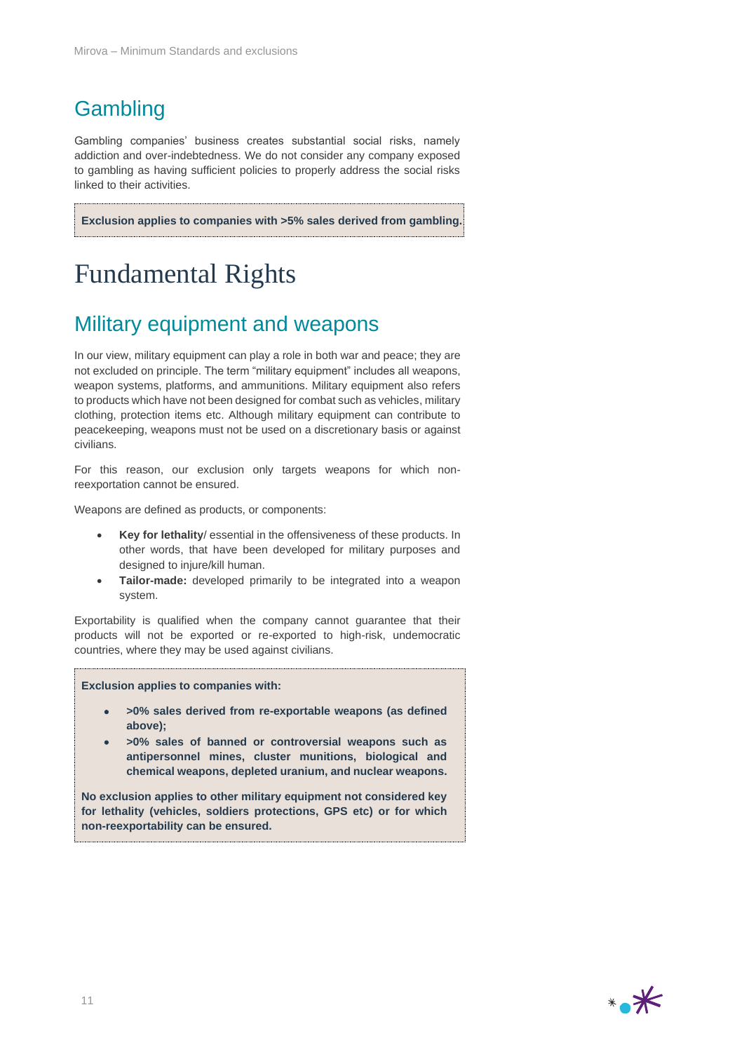### <span id="page-10-0"></span>**Gambling**

Gambling companies' business creates substantial social risks, namely addiction and over-indebtedness. We do not consider any company exposed to gambling as having sufficient policies to properly address the social risks linked to their activities.

**Exclusion applies to companies with >5% sales derived from gambling.**

## <span id="page-10-1"></span>Fundamental Rights

#### <span id="page-10-2"></span>Military equipment and weapons

In our view, military equipment can play a role in both war and peace; they are not excluded on principle. The term "military equipment" includes all weapons, weapon systems, platforms, and ammunitions. Military equipment also refers to products which have not been designed for combat such as vehicles, military clothing, protection items etc. Although military equipment can contribute to peacekeeping, weapons must not be used on a discretionary basis or against civilians.

For this reason, our exclusion only targets weapons for which nonreexportation cannot be ensured.

Weapons are defined as products, or components:

- **Key for lethality**/ essential in the offensiveness of these products. In other words, that have been developed for military purposes and designed to injure/kill human.
- **Tailor-made:** developed primarily to be integrated into a weapon system.

Exportability is qualified when the company cannot guarantee that their products will not be exported or re-exported to high-risk, undemocratic countries, where they may be used against civilians.

**Exclusion applies to companies with:**

- **>0% sales derived from re-exportable weapons (as defined above);**
- **>0% sales of banned or controversial weapons such as antipersonnel mines, cluster munitions, biological and chemical weapons, depleted uranium, and nuclear weapons.**

**No exclusion applies to other military equipment not considered key for lethality (vehicles, soldiers protections, GPS etc) or for which non-reexportability can be ensured.**

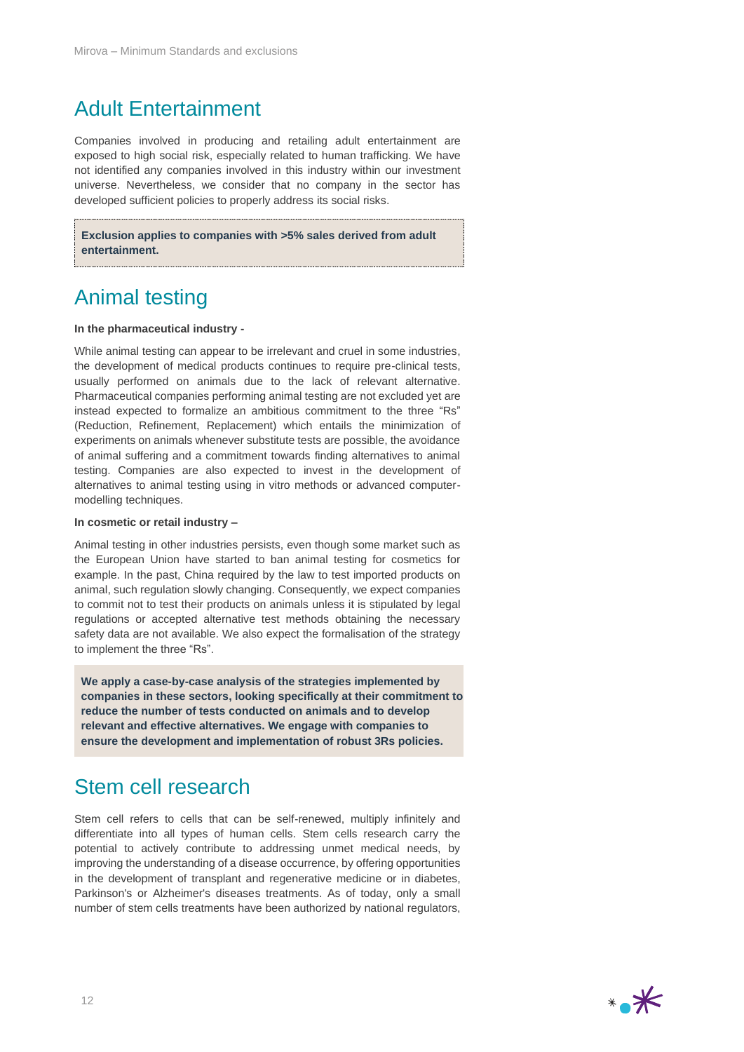### <span id="page-11-0"></span>Adult Entertainment

Companies involved in producing and retailing adult entertainment are exposed to high social risk, especially related to human trafficking. We have not identified any companies involved in this industry within our investment universe. Nevertheless, we consider that no company in the sector has developed sufficient policies to properly address its social risks.

**Exclusion applies to companies with >5% sales derived from adult entertainment.**

### <span id="page-11-1"></span>Animal testing

#### **In the pharmaceutical industry -**

While animal testing can appear to be irrelevant and cruel in some industries, the development of medical products continues to require pre-clinical tests, usually performed on animals due to the lack of relevant alternative. Pharmaceutical companies performing animal testing are not excluded yet are instead expected to formalize an ambitious commitment to the three "Rs" (Reduction, Refinement, Replacement) which entails the minimization of experiments on animals whenever substitute tests are possible, the avoidance of animal suffering and a commitment towards finding alternatives to animal testing. Companies are also expected to invest in the development of alternatives to animal testing using in vitro methods or advanced computermodelling techniques.

#### **In cosmetic or retail industry –**

Animal testing in other industries persists, even though some market such as the European Union have started to ban animal testing for cosmetics for example. In the past, China required by the law to test imported products on animal, such regulation slowly changing. Consequently, we expect companies to commit not to test their products on animals unless it is stipulated by legal regulations or accepted alternative test methods obtaining the necessary safety data are not available. We also expect the formalisation of the strategy to implement the three "Rs".

**We apply a case-by-case analysis of the strategies implemented by companies in these sectors, looking specifically at their commitment to reduce the number of tests conducted on animals and to develop relevant and effective alternatives. We engage with companies to ensure the development and implementation of robust 3Rs policies.** 

#### <span id="page-11-2"></span>Stem cell research

Stem cell refers to cells that can be self-renewed, multiply infinitely and differentiate into all types of human cells. Stem cells research carry the potential to actively contribute to addressing unmet medical needs, by improving the understanding of a disease occurrence, by offering opportunities in the development of transplant and regenerative medicine or in diabetes, Parkinson's or Alzheimer's diseases treatments. As of today, only a small number of stem cells treatments have been authorized by national regulators,

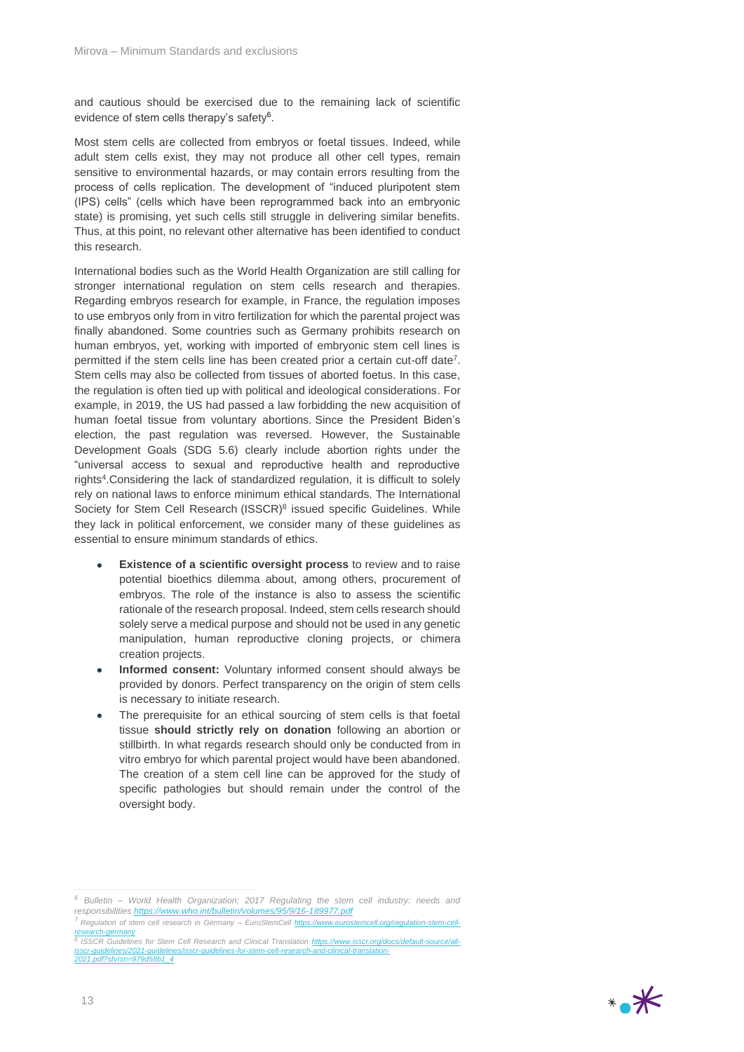and cautious should be exercised due to the remaining lack of scientific evidence of stem cells therapy's safety<sup>6</sup>.

Most stem cells are collected from embryos or foetal tissues. Indeed, while adult stem cells exist, they may not produce all other cell types, remain sensitive to environmental hazards, or may contain errors resulting from the process of cells replication. The development of "induced pluripotent stem (IPS) cells" (cells which have been reprogrammed back into an embryonic state) is promising, yet such cells still struggle in delivering similar benefits. Thus, at this point, no relevant other alternative has been identified to conduct this research.

International bodies such as the World Health Organization are still calling for stronger international regulation on stem cells research and therapies. Regarding embryos research for example, in France, the regulation imposes to use embryos only from in vitro fertilization for which the parental project was finally abandoned. Some countries such as Germany prohibits research on human embryos, yet, working with imported of embryonic stem cell lines is permitted if the stem cells line has been created prior a certain cut-off date<sup>7</sup>. Stem cells may also be collected from tissues of aborted foetus. In this case, the regulation is often tied up with political and ideological considerations. For example, in 2019, the US had passed a law forbidding the new acquisition of human foetal tissue from voluntary abortions. Since the President Biden's election, the past regulation was reversed. However, the Sustainable Development Goals (SDG 5.6) clearly include abortion rights under the "universal access to sexual and reproductive health and reproductive rights<sup>4</sup>. Considering the lack of standardized regulation, it is difficult to solely rely on national laws to enforce minimum ethical standards. The International Society for Stem Cell Research (ISSCR)<sup>8</sup> issued specific Guidelines. While they lack in political enforcement, we consider many of these guidelines as essential to ensure minimum standards of ethics.

- **Existence of a scientific oversight process** to review and to raise potential bioethics dilemma about, among others, procurement of embryos. The role of the instance is also to assess the scientific rationale of the research proposal. Indeed, stem cells research should solely serve a medical purpose and should not be used in any genetic manipulation, human reproductive cloning projects, or chimera creation projects.
- **Informed consent:** Voluntary informed consent should always be provided by donors. Perfect transparency on the origin of stem cells is necessary to initiate research.
- The prerequisite for an ethical sourcing of stem cells is that foetal tissue **should strictly rely on donation** following an abortion or stillbirth. In what regards research should only be conducted from in vitro embryo for which parental project would have been abandoned. The creation of a stem cell line can be approved for the study of specific pathologies but should remain under the control of the oversight body.



*<sup>6</sup> Bulletin – World Health Organization; 2017 Regulating the stem cell industry: needs and responsibilitie[s https://www.who.int/bulletin/volumes/95/9/16-189977.pdf](https://www.who.int/bulletin/volumes/95/9/16-189977.pdf)*

*<sup>7</sup> Regulation of stem cell research in Germany – EuroStemCell [https://www.eurostemcell.org/regulation-stem-cell](https://www.eurostemcell.org/regulation-stem-cell-research-germany)[research-germany](https://www.eurostemcell.org/regulation-stem-cell-research-germany) 8 ISSCR Guidelines for Stem Cell Research and Clinical Translation [https://www.isscr.org/docs/default-source/all-](https://www.isscr.org/docs/default-source/all-isscr-guidelines/2021-guidelines/isscr-guidelines-for-stem-cell-research-and-clinical-translation-2021.pdf?sfvrsn=979d58b1_4)*

isscr-guidelines/2021-guidelines/isscr-guidelines-for-stem-cell-research-and-clinical-trans *[2021.pdf?sfvrsn=979d58b1\\_4](https://www.isscr.org/docs/default-source/all-isscr-guidelines/2021-guidelines/isscr-guidelines-for-stem-cell-research-and-clinical-translation-2021.pdf?sfvrsn=979d58b1_4)*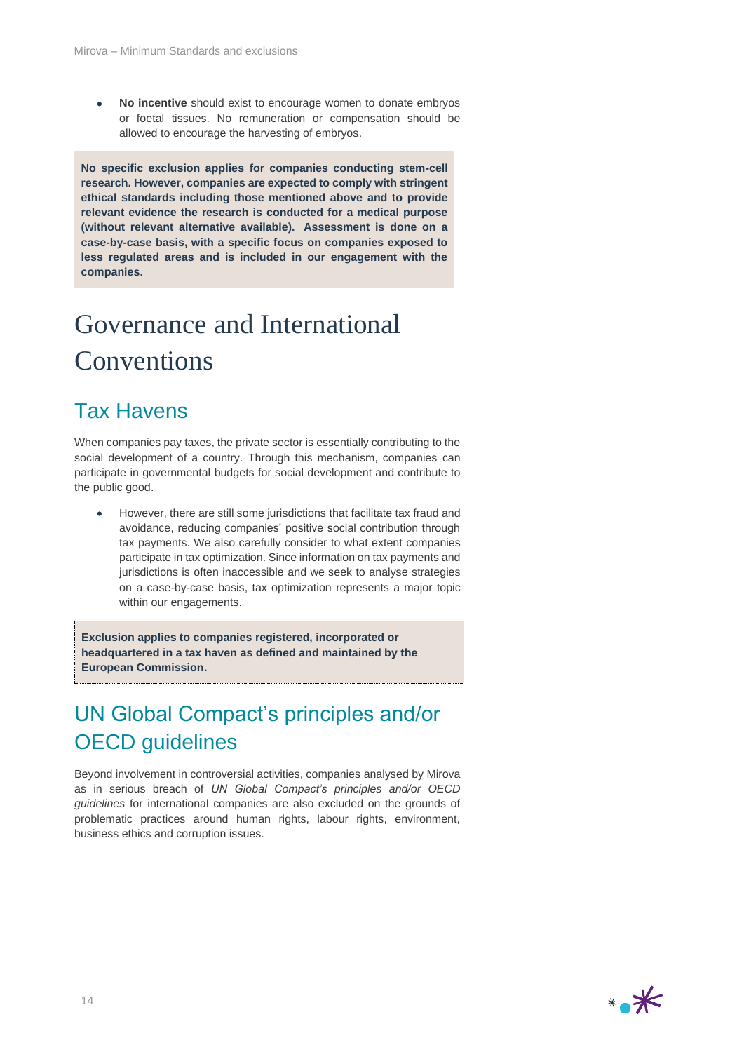• **No incentive** should exist to encourage women to donate embryos or foetal tissues. No remuneration or compensation should be allowed to encourage the harvesting of embryos.

**No specific exclusion applies for companies conducting stem-cell research. However, companies are expected to comply with stringent ethical standards including those mentioned above and to provide relevant evidence the research is conducted for a medical purpose (without relevant alternative available). Assessment is done on a case-by-case basis, with a specific focus on companies exposed to less regulated areas and is included in our engagement with the companies.**

## <span id="page-13-0"></span>Governance and International Conventions

### <span id="page-13-1"></span>Tax Havens

When companies pay taxes, the private sector is essentially contributing to the social development of a country. Through this mechanism, companies can participate in governmental budgets for social development and contribute to the public good.

• However, there are still some jurisdictions that facilitate tax fraud and avoidance, reducing companies' positive social contribution through tax payments. We also carefully consider to what extent companies participate in tax optimization. Since information on tax payments and jurisdictions is often inaccessible and we seek to analyse strategies on a case-by-case basis, tax optimization represents a major topic within our engagements.

**Exclusion applies to companies registered, incorporated or headquartered in a tax haven as defined and maintained by the European Commission.**

## <span id="page-13-2"></span>UN Global Compact's principles and/or OECD guidelines

Beyond involvement in controversial activities, companies analysed by Mirova as in serious breach of *UN Global Compact's principles and/or OECD guidelines* for international companies are also excluded on the grounds of problematic practices around human rights, labour rights, environment, business ethics and corruption issues.

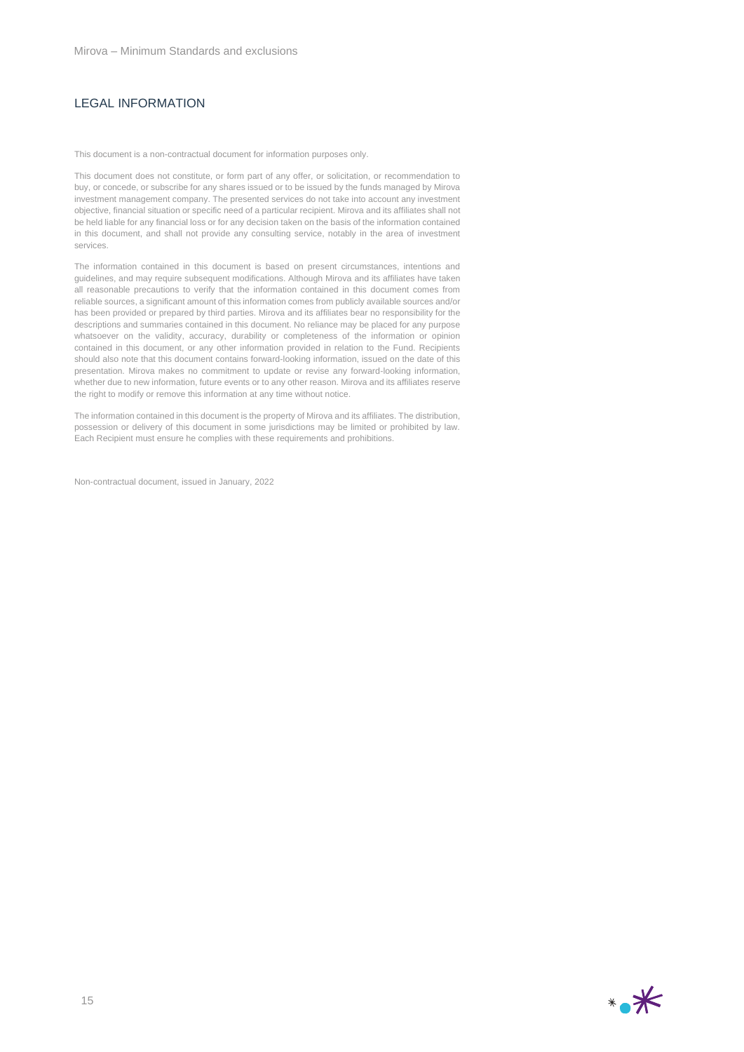#### <span id="page-14-0"></span>LEGAL INFORMATION

This document is a non-contractual document for information purposes only.

This document does not constitute, or form part of any offer, or solicitation, or recommendation to buy, or concede, or subscribe for any shares issued or to be issued by the funds managed by Mirova investment management company. The presented services do not take into account any investment objective, financial situation or specific need of a particular recipient. Mirova and its affiliates shall not be held liable for any financial loss or for any decision taken on the basis of the information contained in this document, and shall not provide any consulting service, notably in the area of investment services.

The information contained in this document is based on present circumstances, intentions and guidelines, and may require subsequent modifications. Although Mirova and its affiliates have taken all reasonable precautions to verify that the information contained in this document comes from reliable sources, a significant amount of this information comes from publicly available sources and/or has been provided or prepared by third parties. Mirova and its affiliates bear no responsibility for the descriptions and summaries contained in this document. No reliance may be placed for any purpose whatsoever on the validity, accuracy, durability or completeness of the information or opinion contained in this document, or any other information provided in relation to the Fund. Recipients should also note that this document contains forward-looking information, issued on the date of this presentation. Mirova makes no commitment to update or revise any forward-looking information, whether due to new information, future events or to any other reason. Mirova and its affiliates reserve the right to modify or remove this information at any time without notice.

The information contained in this document is the property of Mirova and its affiliates. The distribution, possession or delivery of this document in some jurisdictions may be limited or prohibited by law. Each Recipient must ensure he complies with these requirements and prohibitions.

Non-contractual document, issued in January, 2022

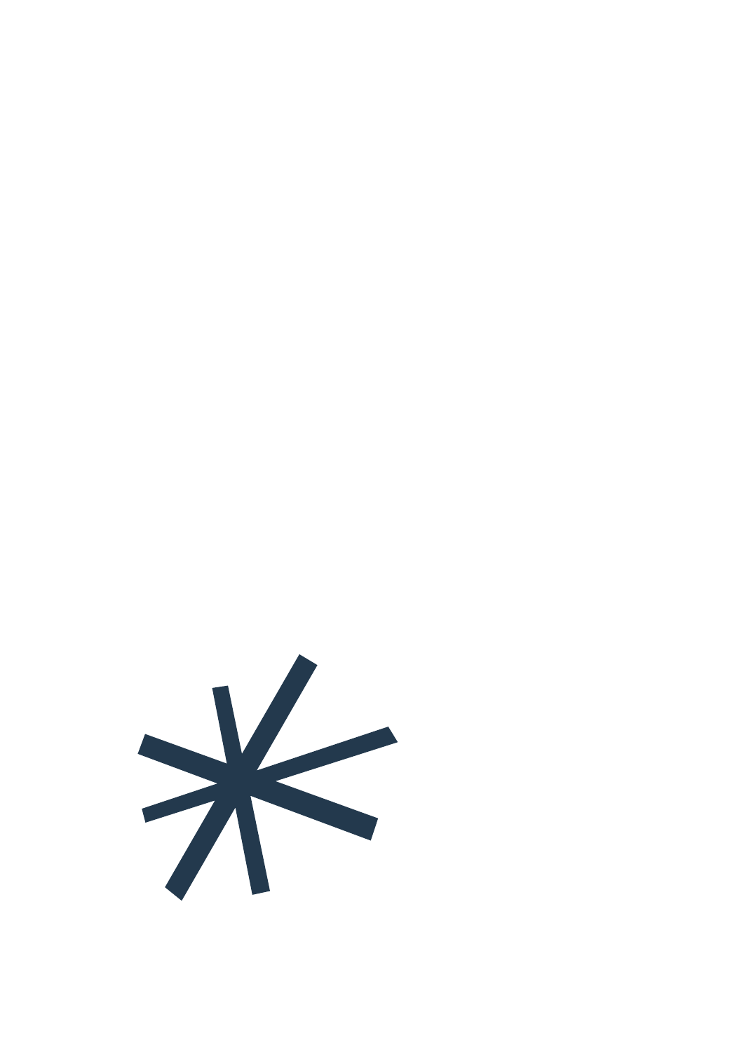